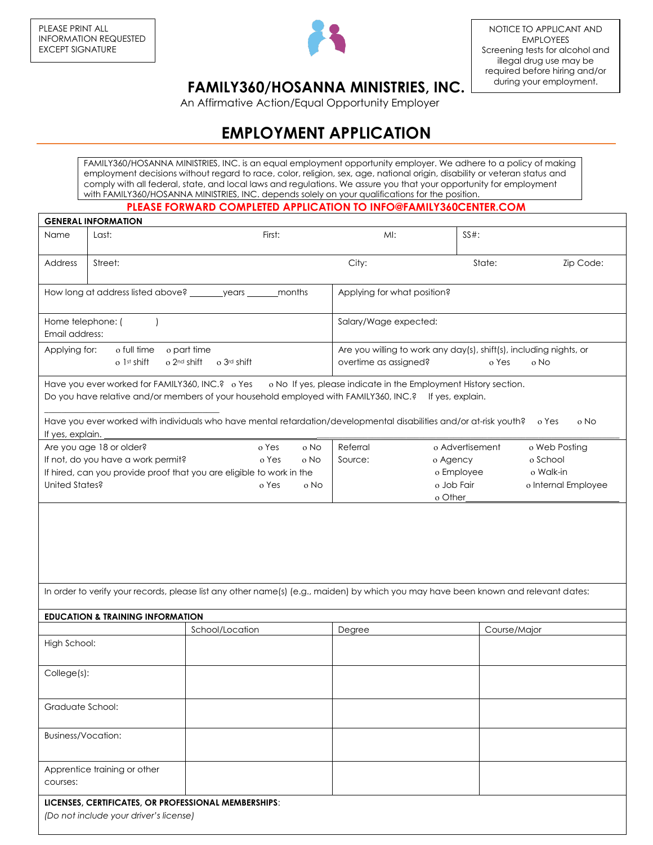

## **FAMILY360/HOSANNA MINISTRIES, INC.**

An Affirmative Action/Equal Opportunity Employer

## **EMPLOYMENT APPLICATION**

FAMILY360/HOSANNA MINISTRIES, INC. is an equal employment opportunity employer. We adhere to a policy of making employment decisions without regard to race, color, religion, sex, age, national origin, disability or veteran status and comply with all federal, state, and local laws and regulations. We assure you that your opportunity for employment with FAMILY360/HOSANNA MINISTRIES, INC. depends solely on your qualifications for the position.

## **PLEASE FORWARD COMPLETED APPLICATION TO INFO@FAMILY360CENTER.COM**

| <b>GENERAL INFORMATION</b>                                                                        |                                                                                                |                                                                                                                                                                                                                          |                             |                                                                                     |                     |  |
|---------------------------------------------------------------------------------------------------|------------------------------------------------------------------------------------------------|--------------------------------------------------------------------------------------------------------------------------------------------------------------------------------------------------------------------------|-----------------------------|-------------------------------------------------------------------------------------|---------------------|--|
| Name                                                                                              | Last:                                                                                          | First:                                                                                                                                                                                                                   | MI:                         | $SS#$ :                                                                             |                     |  |
| Address                                                                                           | Street:                                                                                        |                                                                                                                                                                                                                          | City:                       | State:                                                                              | Zip Code:           |  |
|                                                                                                   |                                                                                                | How long at address listed above? ________ years _______ months                                                                                                                                                          | Applying for what position? |                                                                                     |                     |  |
| Home telephone: (<br>Email address:                                                               |                                                                                                |                                                                                                                                                                                                                          |                             | Salary/Wage expected:                                                               |                     |  |
| Applying for:<br>o full time o part time<br>o 2 <sup>nd</sup> shift<br>o 1st shift<br>o 3rd shift |                                                                                                |                                                                                                                                                                                                                          | overtime as assigned?       | Are you willing to work any day(s), shift(s), including nights, or<br>o No<br>o Yes |                     |  |
|                                                                                                   |                                                                                                | Have you ever worked for FAMILY360, INC.? o Yes o No If yes, please indicate in the Employment History section.<br>Do you have relative and/or members of your household employed with FAMILY360, INC.? If yes, explain. |                             |                                                                                     |                     |  |
| If yes, explain.                                                                                  |                                                                                                | Have you ever worked with individuals who have mental retardation/developmental disabilities and/or at-risk youth?                                                                                                       |                             |                                                                                     | o Yes<br>o No       |  |
|                                                                                                   | Are you age 18 or older?                                                                       | o Yes<br>o No                                                                                                                                                                                                            | Referral                    | o Advertisement                                                                     | o Web Posting       |  |
|                                                                                                   | If not, do you have a work permit?                                                             | o Yes<br>o No                                                                                                                                                                                                            | Source:                     | o Agency                                                                            | o School            |  |
|                                                                                                   |                                                                                                | If hired, can you provide proof that you are eligible to work in the                                                                                                                                                     |                             | o Employee                                                                          | o Walk-in           |  |
| United States?                                                                                    |                                                                                                | o Yes<br>o No                                                                                                                                                                                                            |                             | o Job Fair<br>o Other                                                               | o Internal Employee |  |
|                                                                                                   |                                                                                                | In order to verify your records, please list any other name(s) (e.g., maiden) by which you may have been known and relevant dates:                                                                                       |                             |                                                                                     |                     |  |
|                                                                                                   | <b>EDUCATION &amp; TRAINING INFORMATION</b>                                                    |                                                                                                                                                                                                                          |                             |                                                                                     |                     |  |
|                                                                                                   |                                                                                                | School/Location                                                                                                                                                                                                          | Degree                      | Course/Major                                                                        |                     |  |
| High School:                                                                                      |                                                                                                |                                                                                                                                                                                                                          |                             |                                                                                     |                     |  |
| College(s):                                                                                       |                                                                                                |                                                                                                                                                                                                                          |                             |                                                                                     |                     |  |
| Graduate School:                                                                                  |                                                                                                |                                                                                                                                                                                                                          |                             |                                                                                     |                     |  |
| <b>Business/Vocation:</b>                                                                         |                                                                                                |                                                                                                                                                                                                                          |                             |                                                                                     |                     |  |
| courses:                                                                                          | Apprentice training or other                                                                   |                                                                                                                                                                                                                          |                             |                                                                                     |                     |  |
|                                                                                                   | LICENSES, CERTIFICATES, OR PROFESSIONAL MEMBERSHIPS:<br>(Do not include your driver's license) |                                                                                                                                                                                                                          |                             |                                                                                     |                     |  |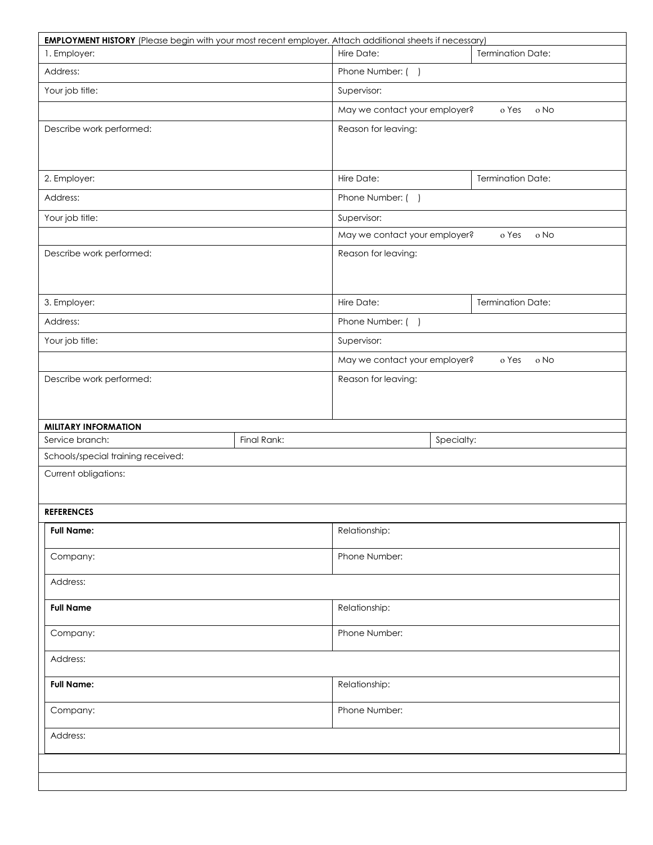|                                    |             | <b>EMPLOYMENT HISTORY</b> (Please begin with your most recent employer. Attach additional sheets if necessary) |                   |  |  |  |
|------------------------------------|-------------|----------------------------------------------------------------------------------------------------------------|-------------------|--|--|--|
| 1. Employer:                       |             | <b>Termination Date:</b><br>Hire Date:                                                                         |                   |  |  |  |
| Address:                           |             | Phone Number: ()                                                                                               |                   |  |  |  |
| Your job title:                    |             | Supervisor:                                                                                                    |                   |  |  |  |
|                                    |             | May we contact your employer?                                                                                  | o Yes<br>o No     |  |  |  |
| Describe work performed:           |             | Reason for leaving:                                                                                            |                   |  |  |  |
|                                    |             |                                                                                                                |                   |  |  |  |
| 2. Employer:                       |             | Hire Date:                                                                                                     | Termination Date: |  |  |  |
| Address:                           |             | Phone Number: ()                                                                                               |                   |  |  |  |
| Your job title:                    |             | Supervisor:                                                                                                    |                   |  |  |  |
|                                    |             | May we contact your employer?                                                                                  | o Yes<br>o No     |  |  |  |
| Describe work performed:           |             | Reason for leaving:                                                                                            |                   |  |  |  |
|                                    |             |                                                                                                                |                   |  |  |  |
| 3. Employer:                       |             | Hire Date:                                                                                                     | Termination Date: |  |  |  |
| Address:                           |             | Phone Number: ()                                                                                               |                   |  |  |  |
| Your job title:                    |             | Supervisor:                                                                                                    |                   |  |  |  |
|                                    |             | May we contact your employer?                                                                                  | o Yes<br>o No     |  |  |  |
| Describe work performed:           |             | Reason for leaving:                                                                                            |                   |  |  |  |
|                                    |             |                                                                                                                |                   |  |  |  |
| <b>MILITARY INFORMATION</b>        |             |                                                                                                                |                   |  |  |  |
| Service branch:                    | Final Rank: | Specialty:                                                                                                     |                   |  |  |  |
| Schools/special training received: |             |                                                                                                                |                   |  |  |  |
|                                    |             |                                                                                                                |                   |  |  |  |
| Current obligations:               |             |                                                                                                                |                   |  |  |  |
| <b>REFERENCES</b>                  |             |                                                                                                                |                   |  |  |  |
| <b>Full Name:</b>                  |             | Relationship:                                                                                                  |                   |  |  |  |
| Company:                           |             | Phone Number:                                                                                                  |                   |  |  |  |
| Address:                           |             |                                                                                                                |                   |  |  |  |
| <b>Full Name</b>                   |             | Relationship:                                                                                                  |                   |  |  |  |
| Company:                           |             | Phone Number:                                                                                                  |                   |  |  |  |
| Address:                           |             |                                                                                                                |                   |  |  |  |
| <b>Full Name:</b>                  |             | Relationship:                                                                                                  |                   |  |  |  |
| Company:                           |             | Phone Number:                                                                                                  |                   |  |  |  |
| Address:                           |             |                                                                                                                |                   |  |  |  |
|                                    |             |                                                                                                                |                   |  |  |  |
|                                    |             |                                                                                                                |                   |  |  |  |